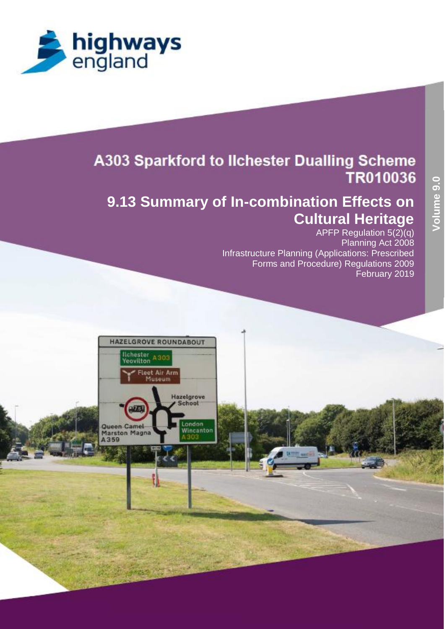

# **A303 Sparkford to Ilchester Dualling Scheme** TR010036

# **9.13 Summary of In-combination Effects on Cultural Heritage**

APFP Regulation 5(2)(q) Planning Act 2008 Infrastructure Planning (Applications: Prescribed Forms and Procedure) Regulations 2009 February 2019

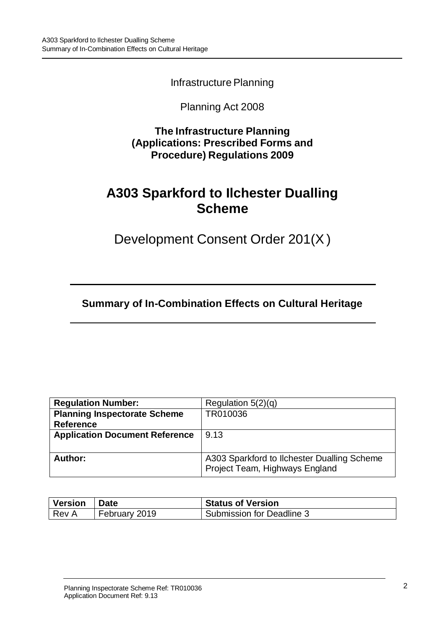Infrastructure Planning

## Planning Act 2008

**The Infrastructure Planning (Applications: Prescribed Forms and Procedure) Regulations 2009**

# **A303 Sparkford to Ilchester Dualling Scheme**

Development Consent Order 201(X)

**Summary of In-Combination Effects on Cultural Heritage**

| <b>Regulation Number:</b>             | Regulation $5(2)(q)$                                                          |
|---------------------------------------|-------------------------------------------------------------------------------|
| <b>Planning Inspectorate Scheme</b>   | TR010036                                                                      |
| <b>Reference</b>                      |                                                                               |
| <b>Application Document Reference</b> | 9.13                                                                          |
|                                       |                                                                               |
| Author:                               | A303 Sparkford to Ilchester Dualling Scheme<br>Project Team, Highways England |

| Version | ∣ Date        | <b>Status of Version</b>  |
|---------|---------------|---------------------------|
| Rev A   | February 2019 | Submission for Deadline 3 |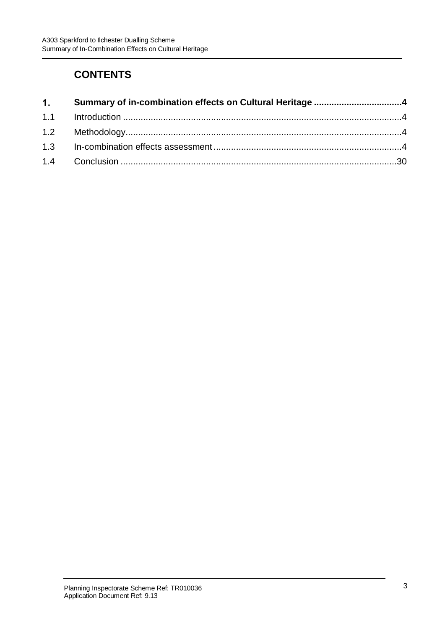## **CONTENTS**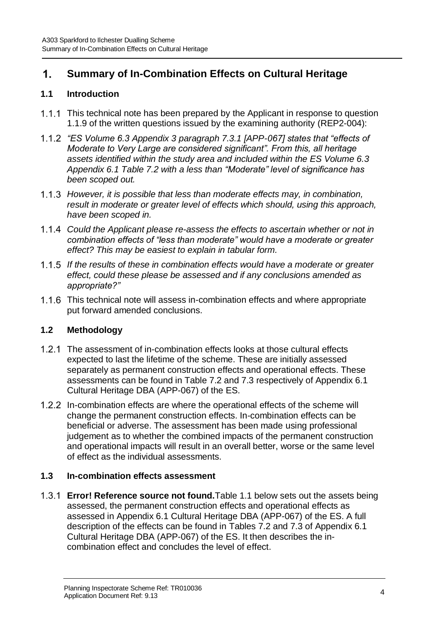#### <span id="page-3-0"></span> $1<sub>1</sub>$ **Summary of In-Combination Effects on Cultural Heritage**

### <span id="page-3-1"></span>**1.1 Introduction**

- 1.1.1 This technical note has been prepared by the Applicant in response to question 1.1.9 of the written questions issued by the examining authority (REP2-004):
- *"ES Volume 6.3 Appendix 3 paragraph 7.3.1 [APP-067] states that "effects of Moderate to Very Large are considered significant". From this, all heritage assets identified within the study area and included within the ES Volume 6.3 Appendix 6.1 Table 7.2 with a less than "Moderate" level of significance has been scoped out.*
- *However, it is possible that less than moderate effects may, in combination, result in moderate or greater level of effects which should, using this approach, have been scoped in.*
- *Could the Applicant please re-assess the effects to ascertain whether or not in combination effects of "less than moderate" would have a moderate or greater effect? This may be easiest to explain in tabular form.*
- *If the results of these in combination effects would have a moderate or greater effect, could these please be assessed and if any conclusions amended as appropriate?"*
- 1.1.6 This technical note will assess in-combination effects and where appropriate put forward amended conclusions.

## <span id="page-3-2"></span>**1.2 Methodology**

- The assessment of in-combination effects looks at those cultural effects expected to last the lifetime of the scheme. These are initially assessed separately as permanent construction effects and operational effects. These assessments can be found in Table 7.2 and 7.3 respectively of Appendix 6.1 Cultural Heritage DBA (APP-067) of the ES.
- In-combination effects are where the operational effects of the scheme will change the permanent construction effects. In-combination effects can be beneficial or adverse. The assessment has been made using professional judgement as to whether the combined impacts of the permanent construction and operational impacts will result in an overall better, worse or the same level of effect as the individual assessments.

### <span id="page-3-3"></span>**1.3 In-combination effects assessment**

**Error! Reference source not found.**Table 1.1 below sets out the assets being assessed, the permanent construction effects and operational effects as assessed in Appendix 6.1 Cultural Heritage DBA (APP-067) of the ES. A full description of the effects can be found in Tables 7.2 and 7.3 of Appendix 6.1 Cultural Heritage DBA (APP-067) of the ES. It then describes the incombination effect and concludes the level of effect.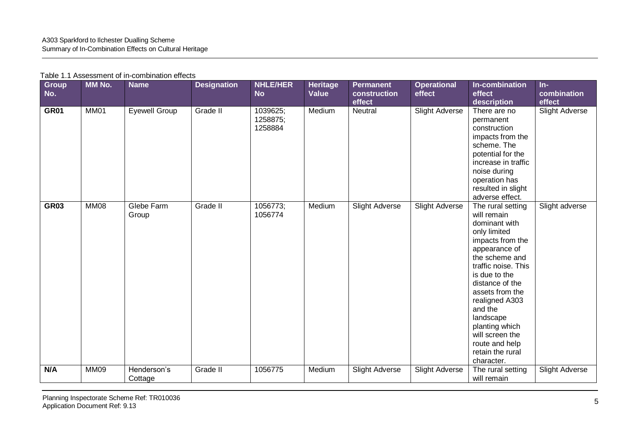| <b>Group</b><br>No. | MM No.      | <b>Name</b>            | <b>Designation</b> | <b>NHLE/HER</b><br><b>No</b>    | <b>Heritage</b><br>Value | <b>Permanent</b><br>construction<br>effect | <b>Operational</b><br>effect | In-combination<br>effect<br>description                                                                                                                                                                                                                                                                                                   | $In-$<br>combination<br>effect |
|---------------------|-------------|------------------------|--------------------|---------------------------------|--------------------------|--------------------------------------------|------------------------------|-------------------------------------------------------------------------------------------------------------------------------------------------------------------------------------------------------------------------------------------------------------------------------------------------------------------------------------------|--------------------------------|
| <b>GR01</b>         | MM01        | Eyewell Group          | Grade II           | 1039625;<br>1258875;<br>1258884 | Medium                   | Neutral                                    | <b>Slight Adverse</b>        | There are no<br>permanent<br>construction<br>impacts from the<br>scheme. The<br>potential for the<br>increase in traffic<br>noise during<br>operation has<br>resulted in slight<br>adverse effect.                                                                                                                                        | <b>Slight Adverse</b>          |
| <b>GR03</b>         | MM08        | Glebe Farm<br>Group    | Grade II           | 1056773;<br>1056774             | Medium                   | Slight Adverse                             | <b>Slight Adverse</b>        | The rural setting<br>will remain<br>dominant with<br>only limited<br>impacts from the<br>appearance of<br>the scheme and<br>traffic noise. This<br>is due to the<br>distance of the<br>assets from the<br>realigned A303<br>and the<br>landscape<br>planting which<br>will screen the<br>route and help<br>retain the rural<br>character. | Slight adverse                 |
| N/A                 | <b>MM09</b> | Henderson's<br>Cottage | Grade II           | 1056775                         | Medium                   | <b>Slight Adverse</b>                      | <b>Slight Adverse</b>        | The rural setting<br>will remain                                                                                                                                                                                                                                                                                                          | <b>Slight Adverse</b>          |
|                     |             |                        |                    |                                 |                          |                                            |                              |                                                                                                                                                                                                                                                                                                                                           |                                |

#### Table 1.1 Assessment of in-combination effects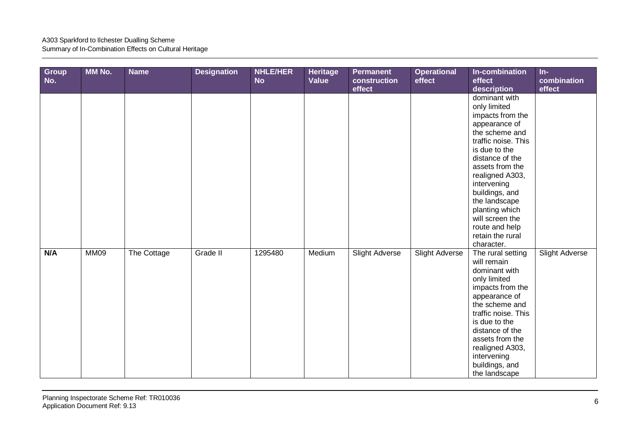| Group<br>No. | MM No.      | <b>Name</b> | <b>Designation</b> | <b>NHLE/HER</b><br><b>No</b> | <b>Heritage</b><br><b>Value</b> | <b>Permanent</b><br>construction<br>effect | <b>Operational</b><br>effect | In-combination<br>effect<br>description                                                                                                                                                                                                                                                                                          | $In-$<br>combination<br>effect |
|--------------|-------------|-------------|--------------------|------------------------------|---------------------------------|--------------------------------------------|------------------------------|----------------------------------------------------------------------------------------------------------------------------------------------------------------------------------------------------------------------------------------------------------------------------------------------------------------------------------|--------------------------------|
|              |             |             |                    |                              |                                 |                                            |                              | dominant with<br>only limited<br>impacts from the<br>appearance of<br>the scheme and<br>traffic noise. This<br>is due to the<br>distance of the<br>assets from the<br>realigned A303,<br>intervening<br>buildings, and<br>the landscape<br>planting which<br>will screen the<br>route and help<br>retain the rural<br>character. |                                |
| N/A          | <b>MM09</b> | The Cottage | Grade II           | 1295480                      | Medium                          | <b>Slight Adverse</b>                      | <b>Slight Adverse</b>        | The rural setting<br>will remain<br>dominant with<br>only limited<br>impacts from the<br>appearance of<br>the scheme and<br>traffic noise. This<br>is due to the<br>distance of the<br>assets from the<br>realigned A303,<br>intervening<br>buildings, and<br>the landscape                                                      | <b>Slight Adverse</b>          |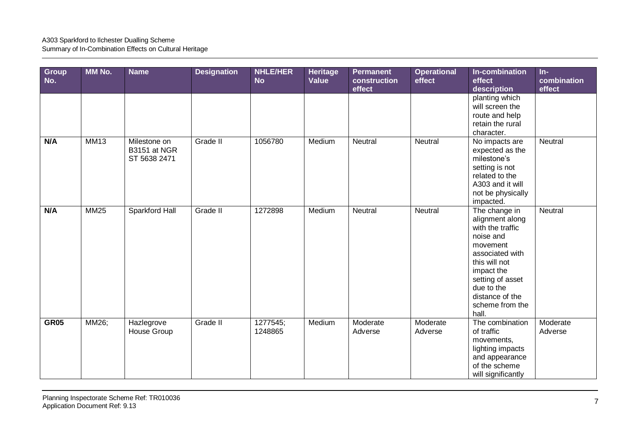| Group<br>No. | MM No.      | <b>Name</b>                                  | <b>Designation</b> | <b>NHLE/HER</b><br><b>No</b> | Heritage<br>Value | <b>Permanent</b><br>construction<br>effect | <b>Operational</b><br>effect | In-combination<br>effect<br>description                                                                                                                                                                          | $In-$<br>combination<br>effect |
|--------------|-------------|----------------------------------------------|--------------------|------------------------------|-------------------|--------------------------------------------|------------------------------|------------------------------------------------------------------------------------------------------------------------------------------------------------------------------------------------------------------|--------------------------------|
|              |             |                                              |                    |                              |                   |                                            |                              | planting which<br>will screen the<br>route and help<br>retain the rural<br>character.                                                                                                                            |                                |
| N/A          | <b>MM13</b> | Milestone on<br>B3151 at NGR<br>ST 5638 2471 | Grade II           | 1056780                      | Medium            | Neutral                                    | Neutral                      | No impacts are<br>expected as the<br>milestone's<br>setting is not<br>related to the<br>A303 and it will<br>not be physically<br>impacted.                                                                       | Neutral                        |
| N/A          | <b>MM25</b> | Sparkford Hall                               | Grade II           | 1272898                      | Medium            | Neutral                                    | Neutral                      | The change in<br>alignment along<br>with the traffic<br>noise and<br>movement<br>associated with<br>this will not<br>impact the<br>setting of asset<br>due to the<br>distance of the<br>scheme from the<br>hall. | Neutral                        |
| <b>GR05</b>  | MM26;       | Hazlegrove<br>House Group                    | Grade II           | 1277545;<br>1248865          | Medium            | Moderate<br>Adverse                        | Moderate<br>Adverse          | The combination<br>of traffic<br>movements,<br>lighting impacts<br>and appearance<br>of the scheme<br>will significantly                                                                                         | Moderate<br>Adverse            |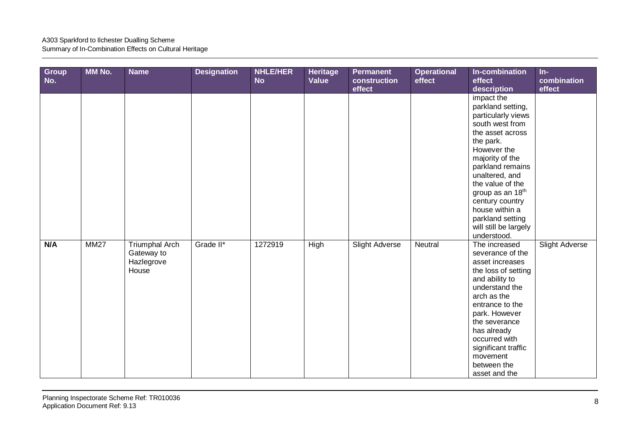| Group<br>No. | MM No.      | <b>Name</b>                                                | <b>Designation</b> | <b>NHLE/HER</b><br><b>No</b> | <b>Heritage</b><br>Value | <b>Permanent</b><br>construction<br>effect | <b>Operational</b><br>effect | In-combination<br>effect<br>description                                                                                                                                                                                                                                                                                                | $In-$<br>combination<br>effect |
|--------------|-------------|------------------------------------------------------------|--------------------|------------------------------|--------------------------|--------------------------------------------|------------------------------|----------------------------------------------------------------------------------------------------------------------------------------------------------------------------------------------------------------------------------------------------------------------------------------------------------------------------------------|--------------------------------|
|              |             |                                                            |                    |                              |                          |                                            |                              | impact the<br>parkland setting,<br>particularly views<br>south west from<br>the asset across<br>the park.<br>However the<br>majority of the<br>parkland remains<br>unaltered, and<br>the value of the<br>group as an 18 <sup>th</sup><br>century country<br>house within a<br>parkland setting<br>will still be largely<br>understood. |                                |
| N/A          | <b>MM27</b> | <b>Triumphal Arch</b><br>Gateway to<br>Hazlegrove<br>House | Grade II*          | 1272919                      | High                     | Slight Adverse                             | Neutral                      | The increased<br>severance of the<br>asset increases<br>the loss of setting<br>and ability to<br>understand the<br>arch as the<br>entrance to the<br>park. However<br>the severance<br>has already<br>occurred with<br>significant traffic<br>movement<br>between the<br>asset and the                                                 | <b>Slight Adverse</b>          |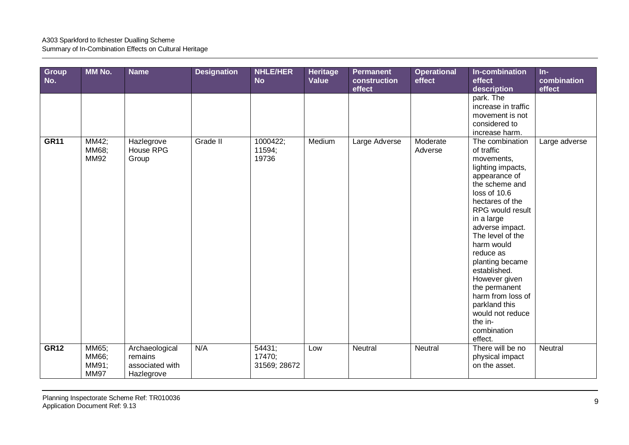| Group<br>No. | MM No.                                 | <b>Name</b>                                                | <b>Designation</b> | <b>NHLE/HER</b><br><b>No</b>     | Heritage<br>Value | <b>Permanent</b><br>construction<br>effect | <b>Operational</b><br>effect | In-combination<br>effect<br>description                                                                                                                                                                                                                                                                                                                                                                        | $In-$<br>combination<br>effect |
|--------------|----------------------------------------|------------------------------------------------------------|--------------------|----------------------------------|-------------------|--------------------------------------------|------------------------------|----------------------------------------------------------------------------------------------------------------------------------------------------------------------------------------------------------------------------------------------------------------------------------------------------------------------------------------------------------------------------------------------------------------|--------------------------------|
|              |                                        |                                                            |                    |                                  |                   |                                            |                              | park. The<br>increase in traffic<br>movement is not<br>considered to<br>increase harm.                                                                                                                                                                                                                                                                                                                         |                                |
| <b>GR11</b>  | MM42;<br>MM68;<br><b>MM92</b>          | Hazlegrove<br>House RPG<br>Group                           | Grade II           | 1000422;<br>11594;<br>19736      | Medium            | Large Adverse                              | Moderate<br>Adverse          | The combination<br>of traffic<br>movements,<br>lighting impacts,<br>appearance of<br>the scheme and<br>loss of 10.6<br>hectares of the<br>RPG would result<br>in a large<br>adverse impact.<br>The level of the<br>harm would<br>reduce as<br>planting became<br>established.<br>However given<br>the permanent<br>harm from loss of<br>parkland this<br>would not reduce<br>the in-<br>combination<br>effect. | Large adverse                  |
| <b>GR12</b>  | MM65;<br>MM66;<br>MM91;<br><b>MM97</b> | Archaeological<br>remains<br>associated with<br>Hazlegrove | N/A                | 54431;<br>17470;<br>31569; 28672 | Low               | Neutral                                    | Neutral                      | There will be no<br>physical impact<br>on the asset.                                                                                                                                                                                                                                                                                                                                                           | Neutral                        |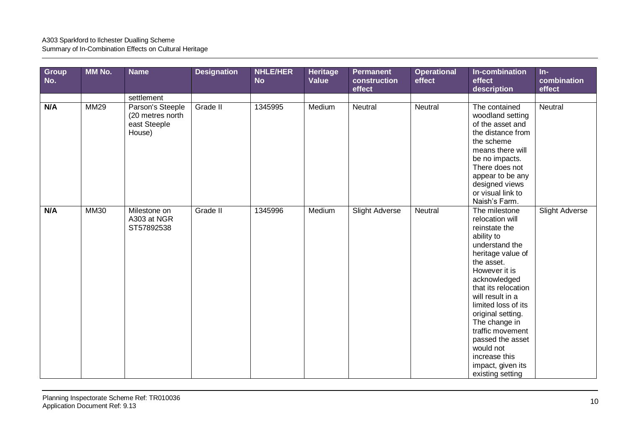| <b>Group</b><br>No. | MM No.      | <b>Name</b>                                                    | <b>Designation</b> | <b>NHLE/HER</b><br><b>No</b> | <b>Heritage</b><br>Value | <b>Permanent</b><br>construction<br>effect | <b>Operational</b><br>effect | In-combination<br>effect<br>description                                                                                                                                                                                                                                                                                                                                      | $In-$<br>combination<br>effect |
|---------------------|-------------|----------------------------------------------------------------|--------------------|------------------------------|--------------------------|--------------------------------------------|------------------------------|------------------------------------------------------------------------------------------------------------------------------------------------------------------------------------------------------------------------------------------------------------------------------------------------------------------------------------------------------------------------------|--------------------------------|
|                     |             | settlement                                                     |                    |                              |                          |                                            |                              |                                                                                                                                                                                                                                                                                                                                                                              |                                |
| N/A                 | <b>MM29</b> | Parson's Steeple<br>(20 metres north<br>east Steeple<br>House) | Grade II           | 1345995                      | Medium                   | Neutral                                    | Neutral                      | The contained<br>woodland setting<br>of the asset and<br>the distance from<br>the scheme<br>means there will<br>be no impacts.<br>There does not<br>appear to be any<br>designed views<br>or visual link to<br>Naish's Farm.                                                                                                                                                 | Neutral                        |
| N/A                 | <b>MM30</b> | Milestone on<br>A303 at NGR<br>ST57892538                      | Grade II           | 1345996                      | Medium                   | <b>Slight Adverse</b>                      | Neutral                      | The milestone<br>relocation will<br>reinstate the<br>ability to<br>understand the<br>heritage value of<br>the asset.<br>However it is<br>acknowledged<br>that its relocation<br>will result in a<br>limited loss of its<br>original setting.<br>The change in<br>traffic movement<br>passed the asset<br>would not<br>increase this<br>impact, given its<br>existing setting | <b>Slight Adverse</b>          |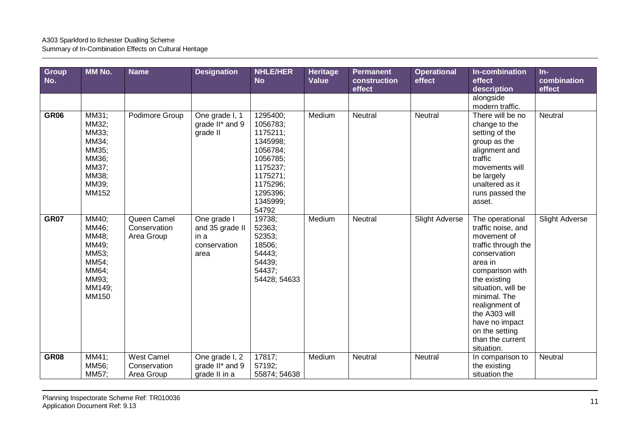| Group<br>No. | MM No.                                                                                  | <b>Name</b>                               | <b>Designation</b>                                             | <b>NHLE/HER</b><br><b>No</b>                                                                                                              | <b>Heritage</b><br><b>Value</b> | <b>Permanent</b><br>construction<br>effect | <b>Operational</b><br>effect | In-combination<br>effect<br>description                                                                                                                                                                                                                                                  | $In-$<br>combination<br>effect |
|--------------|-----------------------------------------------------------------------------------------|-------------------------------------------|----------------------------------------------------------------|-------------------------------------------------------------------------------------------------------------------------------------------|---------------------------------|--------------------------------------------|------------------------------|------------------------------------------------------------------------------------------------------------------------------------------------------------------------------------------------------------------------------------------------------------------------------------------|--------------------------------|
|              |                                                                                         |                                           |                                                                |                                                                                                                                           |                                 |                                            |                              | alongside<br>modern traffic.                                                                                                                                                                                                                                                             |                                |
| <b>GR06</b>  | MM31;<br>MM32;<br>MM33;<br>MM34;<br>MM35;<br>MM36;<br>MM37;<br>MM38:<br>MM39;<br>MM152  | Podimore Group                            | One grade I, 1<br>grade II* and 9<br>grade II                  | 1295400;<br>1056783;<br>1175211;<br>1345998;<br>1056784;<br>1056785;<br>1175237;<br>1175271:<br>1175296;<br>1295396;<br>1345999;<br>54792 | Medium                          | Neutral                                    | Neutral                      | There will be no<br>change to the<br>setting of the<br>group as the<br>alignment and<br>traffic<br>movements will<br>be largely<br>unaltered as it<br>runs passed the<br>asset.                                                                                                          | Neutral                        |
| <b>GR07</b>  | MM40;<br>MM46;<br>MM48;<br>MM49;<br>MM53;<br>MM54;<br>MM64;<br>MM93;<br>MM149;<br>MM150 | Queen Camel<br>Conservation<br>Area Group | One grade I<br>and 35 grade II<br>in a<br>conservation<br>area | 19738;<br>52363;<br>52353;<br>18506;<br>54443;<br>54439;<br>54437;<br>54428; 54633                                                        | Medium                          | Neutral                                    | <b>Slight Adverse</b>        | The operational<br>traffic noise, and<br>movement of<br>traffic through the<br>conservation<br>area in<br>comparison with<br>the existing<br>situation, will be<br>minimal. The<br>realignment of<br>the A303 will<br>have no impact<br>on the setting<br>than the current<br>situation. | <b>Slight Adverse</b>          |
| <b>GR08</b>  | MM41;<br>MM56;                                                                          | <b>West Camel</b><br>Conservation         | One grade I, 2<br>grade II* and 9                              | 17817;<br>57192;                                                                                                                          | Medium                          | Neutral                                    | Neutral                      | In comparison to<br>the existing                                                                                                                                                                                                                                                         | Neutral                        |
|              | MM57;                                                                                   | Area Group                                | grade II in a                                                  | 55874; 54638                                                                                                                              |                                 |                                            |                              | situation the                                                                                                                                                                                                                                                                            |                                |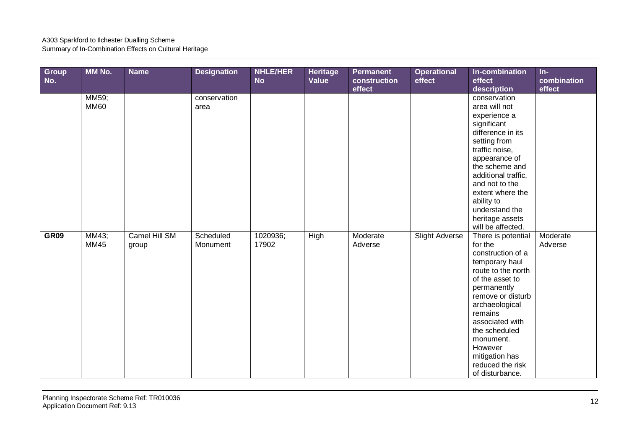| Group<br>No. | <b>MM No.</b>        | <b>Name</b>            | <b>Designation</b>    | <b>NHLE/HER</b><br><b>No</b> | <b>Heritage</b><br>Value | <b>Permanent</b><br>construction<br>effect | <b>Operational</b><br>effect | In-combination<br>effect<br>description                                                                                                                                                                                                                                                             | $In-$<br>combination<br>effect |
|--------------|----------------------|------------------------|-----------------------|------------------------------|--------------------------|--------------------------------------------|------------------------------|-----------------------------------------------------------------------------------------------------------------------------------------------------------------------------------------------------------------------------------------------------------------------------------------------------|--------------------------------|
|              | MM59;<br><b>MM60</b> |                        | conservation<br>area  |                              |                          |                                            |                              | conservation<br>area will not<br>experience a<br>significant<br>difference in its<br>setting from<br>traffic noise,<br>appearance of<br>the scheme and<br>additional traffic,<br>and not to the<br>extent where the<br>ability to<br>understand the<br>heritage assets<br>will be affected.         |                                |
| <b>GR09</b>  | MM43;<br><b>MM45</b> | Camel Hill SM<br>group | Scheduled<br>Monument | 1020936;<br>17902            | High                     | Moderate<br>Adverse                        | <b>Slight Adverse</b>        | There is potential<br>for the<br>construction of a<br>temporary haul<br>route to the north<br>of the asset to<br>permanently<br>remove or disturb<br>archaeological<br>remains<br>associated with<br>the scheduled<br>monument.<br>However<br>mitigation has<br>reduced the risk<br>of disturbance. | Moderate<br>Adverse            |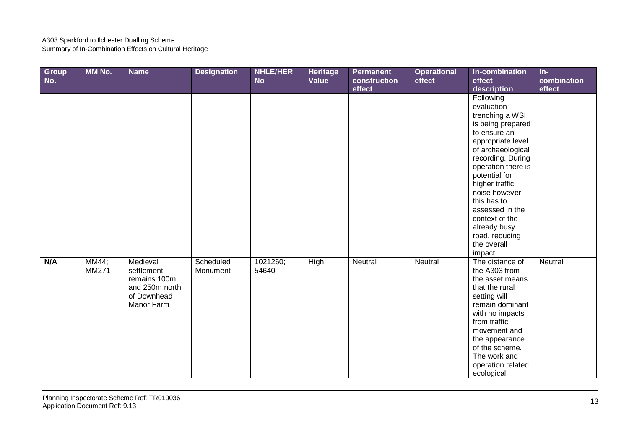| Group<br>No. | MM No.         | <b>Name</b>                                                                           | <b>Designation</b>    | <b>NHLE/HER</b><br><b>No</b> | Heritage<br>Value | <b>Permanent</b><br>construction<br>effect | <b>Operational</b><br>effect | In-combination<br>effect<br>description                                                                                                                                                                                                                                                                                                  | $In-$<br>combination<br>effect |
|--------------|----------------|---------------------------------------------------------------------------------------|-----------------------|------------------------------|-------------------|--------------------------------------------|------------------------------|------------------------------------------------------------------------------------------------------------------------------------------------------------------------------------------------------------------------------------------------------------------------------------------------------------------------------------------|--------------------------------|
|              |                |                                                                                       |                       |                              |                   |                                            |                              | Following<br>evaluation<br>trenching a WSI<br>is being prepared<br>to ensure an<br>appropriate level<br>of archaeological<br>recording. During<br>operation there is<br>potential for<br>higher traffic<br>noise however<br>this has to<br>assessed in the<br>context of the<br>already busy<br>road, reducing<br>the overall<br>impact. |                                |
| N/A          | MM44;<br>MM271 | Medieval<br>settlement<br>remains 100m<br>and 250m north<br>of Downhead<br>Manor Farm | Scheduled<br>Monument | 1021260;<br>54640            | High              | Neutral                                    | Neutral                      | The distance of<br>the A303 from<br>the asset means<br>that the rural<br>setting will<br>remain dominant<br>with no impacts<br>from traffic<br>movement and<br>the appearance<br>of the scheme.<br>The work and<br>operation related<br>ecological                                                                                       | Neutral                        |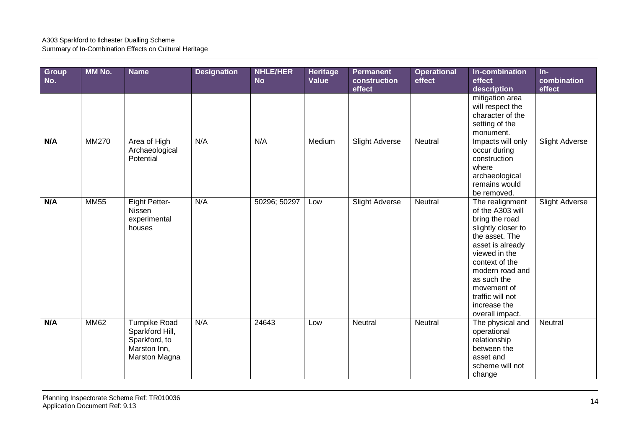| Group<br>No. | MM No.       | <b>Name</b>                                                                               | <b>Designation</b> | <b>NHLE/HER</b><br><b>No</b> | Heritage<br>Value | <b>Permanent</b><br>construction<br>effect | <b>Operational</b><br>effect | In-combination<br>effect<br>description                                                                                                                                                                                                                      | $In-$<br>combination<br>effect |
|--------------|--------------|-------------------------------------------------------------------------------------------|--------------------|------------------------------|-------------------|--------------------------------------------|------------------------------|--------------------------------------------------------------------------------------------------------------------------------------------------------------------------------------------------------------------------------------------------------------|--------------------------------|
|              |              |                                                                                           |                    |                              |                   |                                            |                              | mitigation area<br>will respect the<br>character of the<br>setting of the<br>monument.                                                                                                                                                                       |                                |
| N/A          | <b>MM270</b> | Area of High<br>Archaeological<br>Potential                                               | N/A                | N/A                          | Medium            | <b>Slight Adverse</b>                      | Neutral                      | Impacts will only<br>occur during<br>construction<br>where<br>archaeological<br>remains would<br>be removed.                                                                                                                                                 | <b>Slight Adverse</b>          |
| N/A          | <b>MM55</b>  | Eight Petter-<br>Nissen<br>experimental<br>houses                                         | N/A                | 50296; 50297                 | Low               | <b>Slight Adverse</b>                      | <b>Neutral</b>               | The realignment<br>of the A303 will<br>bring the road<br>slightly closer to<br>the asset. The<br>asset is already<br>viewed in the<br>context of the<br>modern road and<br>as such the<br>movement of<br>traffic will not<br>increase the<br>overall impact. | <b>Slight Adverse</b>          |
| N/A          | <b>MM62</b>  | <b>Turnpike Road</b><br>Sparkford Hill,<br>Sparkford, to<br>Marston Inn,<br>Marston Magna | N/A                | 24643                        | Low               | Neutral                                    | Neutral                      | The physical and<br>operational<br>relationship<br>between the<br>asset and<br>scheme will not<br>change                                                                                                                                                     | Neutral                        |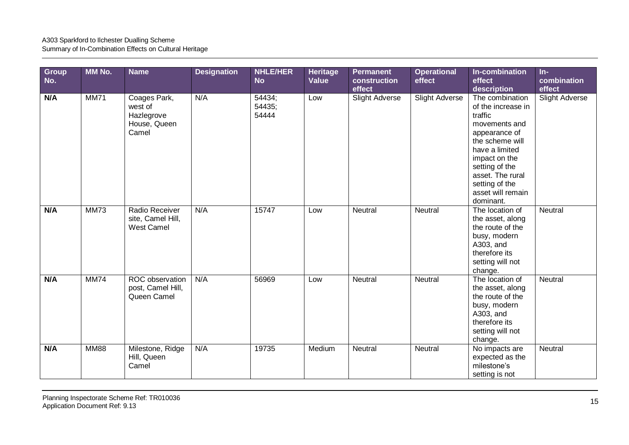| Group<br>No. | <b>MM No.</b> | <b>Name</b>                                                    | <b>Designation</b> | <b>NHLE/HER</b><br><b>No</b> | Heritage<br>Value | <b>Permanent</b><br>construction<br>effect | <b>Operational</b><br>effect | In-combination<br>effect<br>description                                                                                                                                                                                            | $In-$<br>combination<br>effect |
|--------------|---------------|----------------------------------------------------------------|--------------------|------------------------------|-------------------|--------------------------------------------|------------------------------|------------------------------------------------------------------------------------------------------------------------------------------------------------------------------------------------------------------------------------|--------------------------------|
| N/A          | <b>MM71</b>   | Coages Park,<br>west of<br>Hazlegrove<br>House, Queen<br>Camel | N/A                | 54434;<br>54435;<br>54444    | Low               | Slight Adverse                             | <b>Slight Adverse</b>        | The combination<br>of the increase in<br>traffic<br>movements and<br>appearance of<br>the scheme will<br>have a limited<br>impact on the<br>setting of the<br>asset. The rural<br>setting of the<br>asset will remain<br>dominant. | <b>Slight Adverse</b>          |
| N/A          | <b>MM73</b>   | Radio Receiver<br>site, Camel Hill,<br><b>West Camel</b>       | N/A                | 15747                        | Low               | Neutral                                    | Neutral                      | The location of<br>the asset, along<br>the route of the<br>busy, modern<br>A303, and<br>therefore its<br>setting will not<br>change.                                                                                               | Neutral                        |
| N/A          | <b>MM74</b>   | ROC observation<br>post, Camel Hill,<br>Queen Camel            | N/A                | 56969                        | Low               | Neutral                                    | Neutral                      | The location of<br>the asset, along<br>the route of the<br>busy, modern<br>A303, and<br>therefore its<br>setting will not<br>change.                                                                                               | Neutral                        |
| N/A          | <b>MM88</b>   | Milestone, Ridge<br>Hill, Queen<br>Camel                       | N/A                | 19735                        | Medium            | <b>Neutral</b>                             | Neutral                      | No impacts are<br>expected as the<br>milestone's<br>setting is not                                                                                                                                                                 | Neutral                        |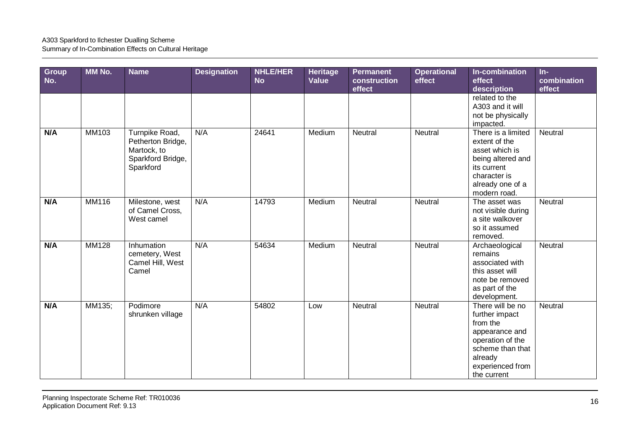| Group<br>No. | MM No.       | <b>Name</b>                                                                          | <b>Designation</b> | <b>NHLE/HER</b><br><b>No</b> | Heritage<br>Value | <b>Permanent</b><br>construction<br>effect | <b>Operational</b><br>effect | In-combination<br>effect<br>description                                                                                                                | $In-$<br>combination<br>effect |
|--------------|--------------|--------------------------------------------------------------------------------------|--------------------|------------------------------|-------------------|--------------------------------------------|------------------------------|--------------------------------------------------------------------------------------------------------------------------------------------------------|--------------------------------|
|              |              |                                                                                      |                    |                              |                   |                                            |                              | related to the<br>A303 and it will<br>not be physically<br>impacted.                                                                                   |                                |
| N/A          | MM103        | Turnpike Road,<br>Petherton Bridge,<br>Martock, to<br>Sparkford Bridge,<br>Sparkford | N/A                | 24641                        | Medium            | Neutral                                    | Neutral                      | There is a limited<br>extent of the<br>asset which is<br>being altered and<br>its current<br>character is<br>already one of a<br>modern road.          | Neutral                        |
| N/A          | <b>MM116</b> | Milestone, west<br>of Camel Cross,<br>West camel                                     | N/A                | 14793                        | Medium            | Neutral                                    | Neutral                      | The asset was<br>not visible during<br>a site walkover<br>so it assumed<br>removed.                                                                    | Neutral                        |
| N/A          | <b>MM128</b> | Inhumation<br>cemetery, West<br>Camel Hill, West<br>Camel                            | N/A                | 54634                        | Medium            | Neutral                                    | Neutral                      | Archaeological<br>remains<br>associated with<br>this asset will<br>note be removed<br>as part of the<br>development.                                   | Neutral                        |
| N/A          | MM135;       | Podimore<br>shrunken village                                                         | N/A                | 54802                        | Low               | Neutral                                    | Neutral                      | There will be no<br>further impact<br>from the<br>appearance and<br>operation of the<br>scheme than that<br>already<br>experienced from<br>the current | Neutral                        |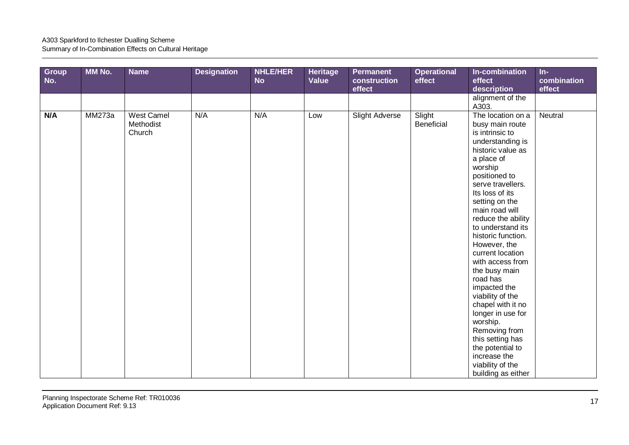| Group<br>No. | MM No. | <b>Name</b>                              | <b>Designation</b> | <b>NHLE/HER</b><br><b>No</b> | <b>Heritage</b><br>Value | Permanent<br>construction<br>effect | <b>Operational</b><br>effect | In-combination<br>effect<br>description                                                                                                                                                                                                                                                                                                                                                                                                                                                                                                                             | $In-$<br>combination<br>effect |
|--------------|--------|------------------------------------------|--------------------|------------------------------|--------------------------|-------------------------------------|------------------------------|---------------------------------------------------------------------------------------------------------------------------------------------------------------------------------------------------------------------------------------------------------------------------------------------------------------------------------------------------------------------------------------------------------------------------------------------------------------------------------------------------------------------------------------------------------------------|--------------------------------|
|              |        |                                          |                    |                              |                          |                                     |                              | alignment of the<br>A303.                                                                                                                                                                                                                                                                                                                                                                                                                                                                                                                                           |                                |
| N/A          | MM273a | <b>West Camel</b><br>Methodist<br>Church | N/A                | N/A                          | Low                      | <b>Slight Adverse</b>               | Slight<br>Beneficial         | The location on a<br>busy main route<br>is intrinsic to<br>understanding is<br>historic value as<br>a place of<br>worship<br>positioned to<br>serve travellers.<br>Its loss of its<br>setting on the<br>main road will<br>reduce the ability<br>to understand its<br>historic function.<br>However, the<br>current location<br>with access from<br>the busy main<br>road has<br>impacted the<br>viability of the<br>chapel with it no<br>longer in use for<br>worship.<br>Removing from<br>this setting has<br>the potential to<br>increase the<br>viability of the | Neutral                        |
|              |        |                                          |                    |                              |                          |                                     |                              | building as either                                                                                                                                                                                                                                                                                                                                                                                                                                                                                                                                                  |                                |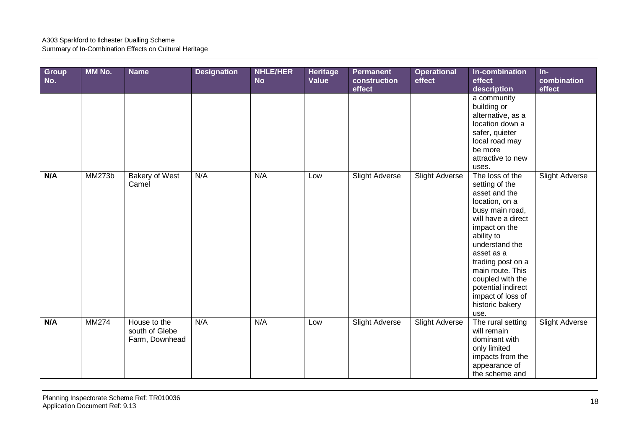| Group<br>No. | MM No.        | <b>Name</b>                                      | <b>Designation</b> | <b>NHLE/HER</b><br><b>No</b> | Heritage<br>Value | <b>Permanent</b><br>construction<br>effect | <b>Operational</b><br>effect | In-combination<br>effect<br>description                                                                                                                                                                                                                                                                         | $In-$<br>combination<br>effect |
|--------------|---------------|--------------------------------------------------|--------------------|------------------------------|-------------------|--------------------------------------------|------------------------------|-----------------------------------------------------------------------------------------------------------------------------------------------------------------------------------------------------------------------------------------------------------------------------------------------------------------|--------------------------------|
|              |               |                                                  |                    |                              |                   |                                            |                              | a community<br>building or<br>alternative, as a<br>location down a<br>safer, quieter<br>local road may<br>be more<br>attractive to new<br>uses.                                                                                                                                                                 |                                |
| N/A          | <b>MM273b</b> | <b>Bakery of West</b><br>Camel                   | N/A                | N/A                          | Low               | <b>Slight Adverse</b>                      | Slight Adverse               | The loss of the<br>setting of the<br>asset and the<br>location, on a<br>busy main road,<br>will have a direct<br>impact on the<br>ability to<br>understand the<br>asset as a<br>trading post on a<br>main route. This<br>coupled with the<br>potential indirect<br>impact of loss of<br>historic bakery<br>use. | Slight Adverse                 |
| N/A          | MM274         | House to the<br>south of Glebe<br>Farm, Downhead | N/A                | N/A                          | Low               | <b>Slight Adverse</b>                      | Slight Adverse               | The rural setting<br>will remain<br>dominant with<br>only limited<br>impacts from the<br>appearance of<br>the scheme and                                                                                                                                                                                        | Slight Adverse                 |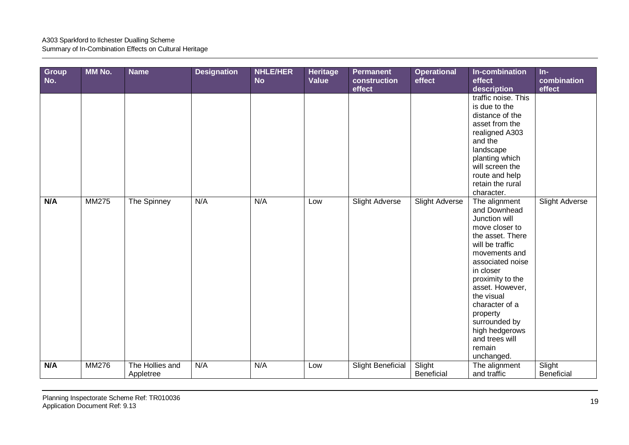| Group<br>No. | MM No. | <b>Name</b>                  | <b>Designation</b> | <b>NHLE/HER</b><br><b>No</b> | Heritage<br>Value | <b>Permanent</b><br>construction<br>effect | <b>Operational</b><br>effect | In-combination<br>effect<br>description                                                                                                                                                                                                                                                                                   | $In-$<br>combination<br>effect |
|--------------|--------|------------------------------|--------------------|------------------------------|-------------------|--------------------------------------------|------------------------------|---------------------------------------------------------------------------------------------------------------------------------------------------------------------------------------------------------------------------------------------------------------------------------------------------------------------------|--------------------------------|
|              |        |                              |                    |                              |                   |                                            |                              | traffic noise. This<br>is due to the<br>distance of the<br>asset from the<br>realigned A303<br>and the<br>landscape<br>planting which<br>will screen the<br>route and help<br>retain the rural<br>character.                                                                                                              |                                |
| N/A          | MM275  | The Spinney                  | N/A                | N/A                          | Low               | <b>Slight Adverse</b>                      | <b>Slight Adverse</b>        | The alignment<br>and Downhead<br>Junction will<br>move closer to<br>the asset. There<br>will be traffic<br>movements and<br>associated noise<br>in closer<br>proximity to the<br>asset. However,<br>the visual<br>character of a<br>property<br>surrounded by<br>high hedgerows<br>and trees will<br>remain<br>unchanged. | <b>Slight Adverse</b>          |
| N/A          | MM276  | The Hollies and<br>Appletree | N/A                | N/A                          | Low               | <b>Slight Beneficial</b>                   | Slight<br>Beneficial         | The alignment<br>and traffic                                                                                                                                                                                                                                                                                              | Slight<br>Beneficial           |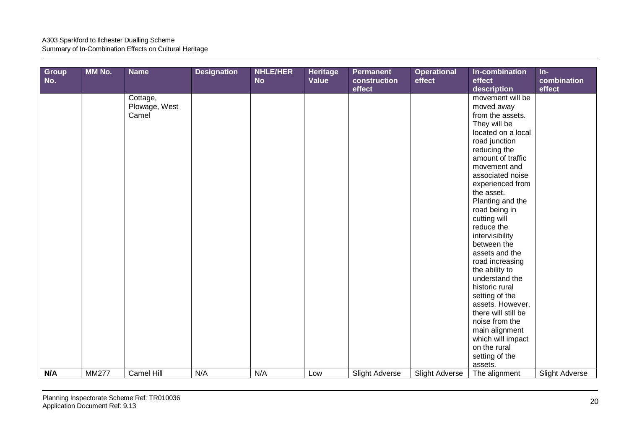## A303 Sparkford to Ilchester Dualling Scheme

Summary of In-Combination Effects on Cultural Heritage

| <b>Group</b><br>No. | MM No.       | <b>Name</b>                        | <b>Designation</b> | NHLE/HER<br><b>No</b> | <b>Heritage</b><br>Value | <b>Permanent</b><br>construction<br>effect | <b>Operational</b><br>effect | In-combination<br>effect<br>description                                                                                                                                                                                                                                                                                                                                                                                                                                                                                                                                      | $In-$<br>combination<br>effect |
|---------------------|--------------|------------------------------------|--------------------|-----------------------|--------------------------|--------------------------------------------|------------------------------|------------------------------------------------------------------------------------------------------------------------------------------------------------------------------------------------------------------------------------------------------------------------------------------------------------------------------------------------------------------------------------------------------------------------------------------------------------------------------------------------------------------------------------------------------------------------------|--------------------------------|
|                     |              | Cottage,<br>Plowage, West<br>Camel |                    |                       |                          |                                            |                              | movement will be<br>moved away<br>from the assets.<br>They will be<br>located on a local<br>road junction<br>reducing the<br>amount of traffic<br>movement and<br>associated noise<br>experienced from<br>the asset.<br>Planting and the<br>road being in<br>cutting will<br>reduce the<br>intervisibility<br>between the<br>assets and the<br>road increasing<br>the ability to<br>understand the<br>historic rural<br>setting of the<br>assets. However,<br>there will still be<br>noise from the<br>main alignment<br>which will impact<br>on the rural<br>setting of the |                                |
| N/A                 | <b>MM277</b> | Camel Hill                         | N/A                | N/A                   | Low                      | <b>Slight Adverse</b>                      | <b>Slight Adverse</b>        | assets.<br>The alignment                                                                                                                                                                                                                                                                                                                                                                                                                                                                                                                                                     | <b>Slight Adverse</b>          |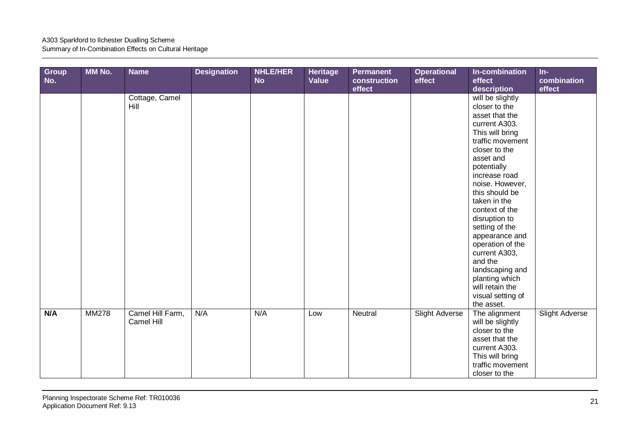| Group<br>No. | MM No.       | <b>Name</b>                    | <b>Designation</b> | NHLE/HER<br><b>No</b> | Heritage<br>Value | <b>Permanent</b><br>construction<br>effect | <b>Operational</b><br>effect | In-combination<br>effect<br>description                                                                                                                                                                                                                                                                                                                                                                                                          | $In-$<br>combination<br>effect |
|--------------|--------------|--------------------------------|--------------------|-----------------------|-------------------|--------------------------------------------|------------------------------|--------------------------------------------------------------------------------------------------------------------------------------------------------------------------------------------------------------------------------------------------------------------------------------------------------------------------------------------------------------------------------------------------------------------------------------------------|--------------------------------|
|              |              | Cottage, Camel<br>Hill         |                    |                       |                   |                                            |                              | will be slightly<br>closer to the<br>asset that the<br>current A303.<br>This will bring<br>traffic movement<br>closer to the<br>asset and<br>potentially<br>increase road<br>noise. However,<br>this should be<br>taken in the<br>context of the<br>disruption to<br>setting of the<br>appearance and<br>operation of the<br>current A303,<br>and the<br>landscaping and<br>planting which<br>will retain the<br>visual setting of<br>the asset. |                                |
| N/A          | <b>MM278</b> | Camel Hill Farm,<br>Camel Hill | N/A                | N/A                   | Low               | Neutral                                    | Slight Adverse               | The alignment<br>will be slightly<br>closer to the<br>asset that the<br>current A303.<br>This will bring<br>traffic movement<br>closer to the                                                                                                                                                                                                                                                                                                    | <b>Slight Adverse</b>          |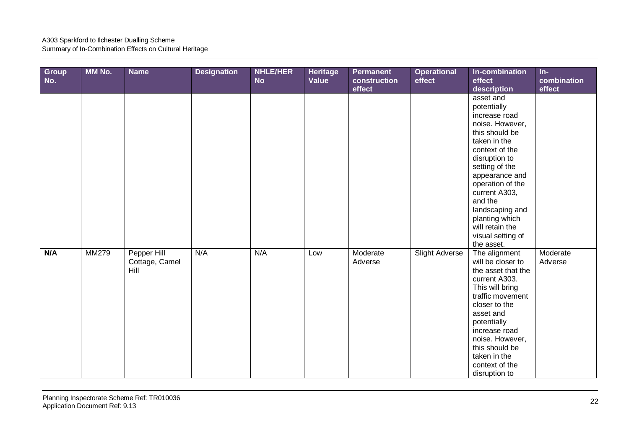| Group<br>No. | MM No.       | <b>Name</b>                           | <b>Designation</b> | <b>NHLE/HER</b><br><b>No</b> | Heritage<br>Value | <b>Permanent</b><br>construction<br>effect | <b>Operational</b><br>effect | In-combination<br>effect<br>description                                                                                                                                                                                                                                                                          | $In-$<br>combination<br>effect |
|--------------|--------------|---------------------------------------|--------------------|------------------------------|-------------------|--------------------------------------------|------------------------------|------------------------------------------------------------------------------------------------------------------------------------------------------------------------------------------------------------------------------------------------------------------------------------------------------------------|--------------------------------|
|              |              |                                       |                    |                              |                   |                                            |                              | asset and<br>potentially<br>increase road<br>noise. However,<br>this should be<br>taken in the<br>context of the<br>disruption to<br>setting of the<br>appearance and<br>operation of the<br>current A303,<br>and the<br>landscaping and<br>planting which<br>will retain the<br>visual setting of<br>the asset. |                                |
| N/A          | <b>MM279</b> | Pepper Hill<br>Cottage, Camel<br>Hill | N/A                | N/A                          | Low               | Moderate<br>Adverse                        | <b>Slight Adverse</b>        | The alignment<br>will be closer to<br>the asset that the<br>current A303.<br>This will bring<br>traffic movement<br>closer to the<br>asset and<br>potentially<br>increase road<br>noise. However,<br>this should be<br>taken in the<br>context of the<br>disruption to                                           | Moderate<br>Adverse            |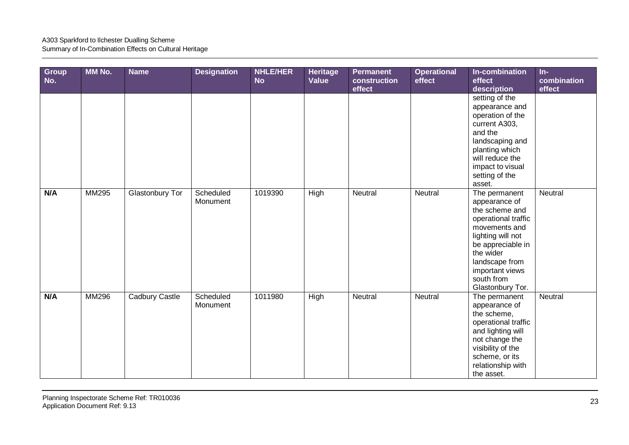| Group<br>No. | MM No.       | <b>Name</b>            | <b>Designation</b>    | <b>NHLE/HER</b><br><b>No</b> | Heritage<br>Value | <b>Permanent</b><br>construction<br>effect | <b>Operational</b><br>effect | In-combination<br>effect<br>description                                                                                                                                                                                | $In-$<br>combination<br>effect |
|--------------|--------------|------------------------|-----------------------|------------------------------|-------------------|--------------------------------------------|------------------------------|------------------------------------------------------------------------------------------------------------------------------------------------------------------------------------------------------------------------|--------------------------------|
|              |              |                        |                       |                              |                   |                                            |                              | setting of the<br>appearance and<br>operation of the<br>current A303,<br>and the<br>landscaping and<br>planting which<br>will reduce the<br>impact to visual<br>setting of the<br>asset.                               |                                |
| N/A          | <b>MM295</b> | <b>Glastonbury Tor</b> | Scheduled<br>Monument | 1019390                      | High              | Neutral                                    | Neutral                      | The permanent<br>appearance of<br>the scheme and<br>operational traffic<br>movements and<br>lighting will not<br>be appreciable in<br>the wider<br>landscape from<br>important views<br>south from<br>Glastonbury Tor. | Neutral                        |
| N/A          | MM296        | Cadbury Castle         | Scheduled<br>Monument | 1011980                      | High              | Neutral                                    | Neutral                      | The permanent<br>appearance of<br>the scheme,<br>operational traffic<br>and lighting will<br>not change the<br>visibility of the<br>scheme, or its<br>relationship with<br>the asset.                                  | Neutral                        |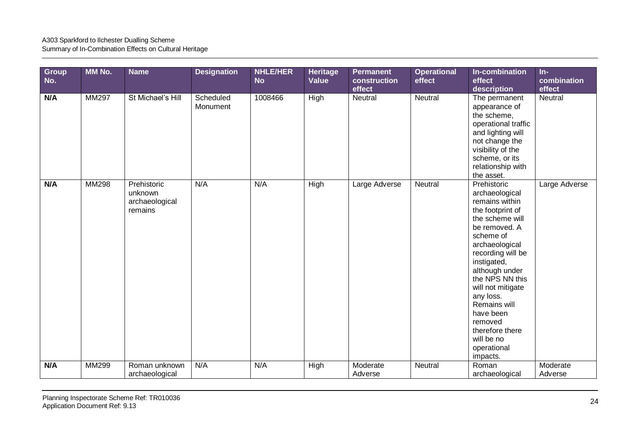| <b>Group</b><br>No. | MM No. | <b>Name</b>                                         | <b>Designation</b>    | <b>NHLE/HER</b><br><b>No</b> | Heritage<br>Value | <b>Permanent</b><br>construction<br>effect | <b>Operational</b><br>effect | In-combination<br>effect<br>description                                                                                                                                                                                                                                                                                                               | $In-$<br>combination<br>effect |
|---------------------|--------|-----------------------------------------------------|-----------------------|------------------------------|-------------------|--------------------------------------------|------------------------------|-------------------------------------------------------------------------------------------------------------------------------------------------------------------------------------------------------------------------------------------------------------------------------------------------------------------------------------------------------|--------------------------------|
| N/A                 | MM297  | St Michael's Hill                                   | Scheduled<br>Monument | 1008466                      | High              | Neutral                                    | Neutral                      | The permanent<br>appearance of<br>the scheme,<br>operational traffic<br>and lighting will<br>not change the<br>visibility of the<br>scheme, or its<br>relationship with<br>the asset.                                                                                                                                                                 | Neutral                        |
| N/A                 | MM298  | Prehistoric<br>unknown<br>archaeological<br>remains | N/A                   | N/A                          | High              | Large Adverse                              | Neutral                      | Prehistoric<br>archaeological<br>remains within<br>the footprint of<br>the scheme will<br>be removed. A<br>scheme of<br>archaeological<br>recording will be<br>instigated,<br>although under<br>the NPS NN this<br>will not mitigate<br>any loss.<br>Remains will<br>have been<br>removed<br>therefore there<br>will be no<br>operational<br>impacts. | Large Adverse                  |
| N/A                 | MM299  | Roman unknown                                       | N/A                   | N/A                          | High              | Moderate                                   | Neutral                      | Roman                                                                                                                                                                                                                                                                                                                                                 | Moderate                       |
|                     |        | archaeological                                      |                       |                              |                   | Adverse                                    |                              | archaeological                                                                                                                                                                                                                                                                                                                                        | Adverse                        |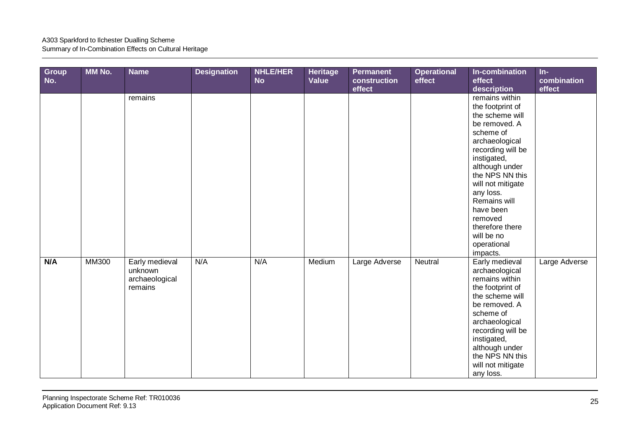| Group<br>No. | MM No.       | <b>Name</b>                                            | <b>Designation</b> | <b>NHLE/HER</b><br><b>No</b> | <b>Heritage</b><br><b>Value</b> | <b>Permanent</b><br>construction<br>effect | <b>Operational</b><br>effect | In-combination<br>effect<br>description                                                                                                                                                                                                                                                                              | $In-$<br>combination<br>effect |
|--------------|--------------|--------------------------------------------------------|--------------------|------------------------------|---------------------------------|--------------------------------------------|------------------------------|----------------------------------------------------------------------------------------------------------------------------------------------------------------------------------------------------------------------------------------------------------------------------------------------------------------------|--------------------------------|
|              |              | remains                                                |                    |                              |                                 |                                            |                              | remains within<br>the footprint of<br>the scheme will<br>be removed. A<br>scheme of<br>archaeological<br>recording will be<br>instigated,<br>although under<br>the NPS NN this<br>will not mitigate<br>any loss.<br>Remains will<br>have been<br>removed<br>therefore there<br>will be no<br>operational<br>impacts. |                                |
| N/A          | <b>MM300</b> | Early medieval<br>unknown<br>archaeological<br>remains | N/A                | N/A                          | Medium                          | Large Adverse                              | Neutral                      | Early medieval<br>archaeological<br>remains within<br>the footprint of<br>the scheme will<br>be removed. A<br>scheme of<br>archaeological<br>recording will be<br>instigated,<br>although under<br>the NPS NN this<br>will not mitigate<br>any loss.                                                                 | Large Adverse                  |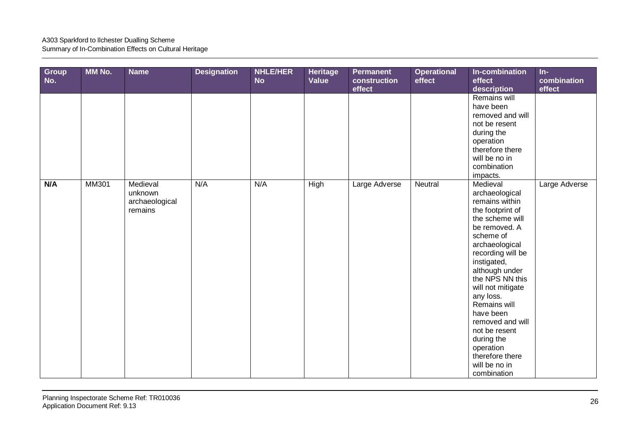| Group<br>No. | <b>MM No.</b> | <b>Name</b>                                      | <b>Designation</b> | <b>NHLE/HER</b><br><b>No</b> | Heritage<br>Value | Permanent<br>construction<br>effect | <b>Operational</b><br>effect | In-combination<br>effect<br>description                                                                                                                                                                                                                                                                                                                                                        | $In-$<br>combination<br>effect |
|--------------|---------------|--------------------------------------------------|--------------------|------------------------------|-------------------|-------------------------------------|------------------------------|------------------------------------------------------------------------------------------------------------------------------------------------------------------------------------------------------------------------------------------------------------------------------------------------------------------------------------------------------------------------------------------------|--------------------------------|
|              |               |                                                  |                    |                              |                   |                                     |                              | Remains will<br>have been<br>removed and will<br>not be resent<br>during the<br>operation<br>therefore there<br>will be no in<br>combination<br>impacts.                                                                                                                                                                                                                                       |                                |
| N/A          | <b>MM301</b>  | Medieval<br>unknown<br>archaeological<br>remains | N/A                | N/A                          | <b>High</b>       | Large Adverse                       | Neutral                      | Medieval<br>archaeological<br>remains within<br>the footprint of<br>the scheme will<br>be removed. A<br>scheme of<br>archaeological<br>recording will be<br>instigated,<br>although under<br>the NPS NN this<br>will not mitigate<br>any loss.<br>Remains will<br>have been<br>removed and will<br>not be resent<br>during the<br>operation<br>therefore there<br>will be no in<br>combination | Large Adverse                  |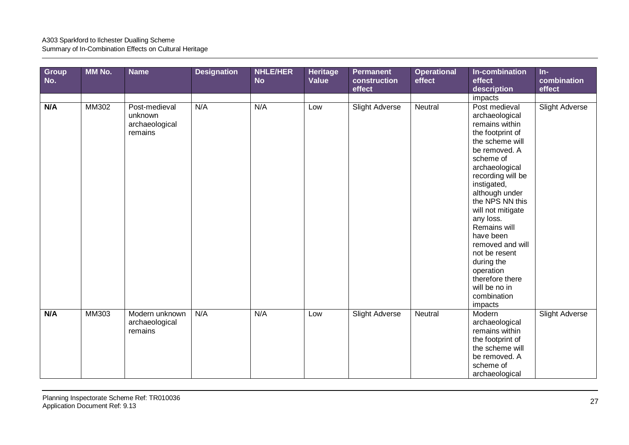| <b>Group</b><br>No. | MM No.       | <b>Name</b>                                           | <b>Designation</b> | <b>NHLE/HER</b><br><b>No</b> | Heritage<br>Value | <b>Permanent</b><br>construction<br>effect | <b>Operational</b><br>effect | In-combination<br>effect<br>description                                                                                                                                                                                                                                                                                                                                                                        | $In-$<br>combination<br>effect |
|---------------------|--------------|-------------------------------------------------------|--------------------|------------------------------|-------------------|--------------------------------------------|------------------------------|----------------------------------------------------------------------------------------------------------------------------------------------------------------------------------------------------------------------------------------------------------------------------------------------------------------------------------------------------------------------------------------------------------------|--------------------------------|
|                     |              |                                                       |                    |                              |                   |                                            |                              | impacts                                                                                                                                                                                                                                                                                                                                                                                                        |                                |
| N/A                 | <b>MM302</b> | Post-medieval<br>unknown<br>archaeological<br>remains | N/A                | N/A                          | Low               | Slight Adverse                             | Neutral                      | Post medieval<br>archaeological<br>remains within<br>the footprint of<br>the scheme will<br>be removed. A<br>scheme of<br>archaeological<br>recording will be<br>instigated,<br>although under<br>the NPS NN this<br>will not mitigate<br>any loss.<br>Remains will<br>have been<br>removed and will<br>not be resent<br>during the<br>operation<br>therefore there<br>will be no in<br>combination<br>impacts | <b>Slight Adverse</b>          |
| N/A                 | <b>MM303</b> | Modern unknown<br>archaeological<br>remains           | N/A                | N/A                          | Low               | <b>Slight Adverse</b>                      | Neutral                      | Modern<br>archaeological<br>remains within<br>the footprint of<br>the scheme will<br>be removed. A<br>scheme of<br>archaeological                                                                                                                                                                                                                                                                              | <b>Slight Adverse</b>          |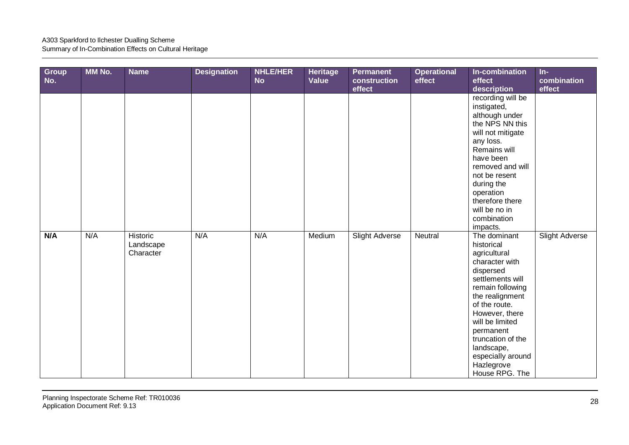| Group<br>No. | MM No. | <b>Name</b>                        | <b>Designation</b> | <b>NHLE/HER</b><br><b>No</b> | <b>Heritage</b><br>Value | <b>Permanent</b><br>construction<br>effect | <b>Operational</b><br>effect | In-combination<br>effect<br>description                                                                                                                                                                                                                                                         | $In-$<br>combination<br>effect |
|--------------|--------|------------------------------------|--------------------|------------------------------|--------------------------|--------------------------------------------|------------------------------|-------------------------------------------------------------------------------------------------------------------------------------------------------------------------------------------------------------------------------------------------------------------------------------------------|--------------------------------|
|              |        |                                    |                    |                              |                          |                                            |                              | recording will be<br>instigated,<br>although under<br>the NPS NN this<br>will not mitigate<br>any loss.<br>Remains will<br>have been<br>removed and will<br>not be resent<br>during the<br>operation<br>therefore there<br>will be no in<br>combination<br>impacts.                             |                                |
| N/A          | N/A    | Historic<br>Landscape<br>Character | N/A                | N/A                          | Medium                   | Slight Adverse                             | Neutral                      | The dominant<br>historical<br>agricultural<br>character with<br>dispersed<br>settlements will<br>remain following<br>the realignment<br>of the route.<br>However, there<br>will be limited<br>permanent<br>truncation of the<br>landscape,<br>especially around<br>Hazlegrove<br>House RPG. The | Slight Adverse                 |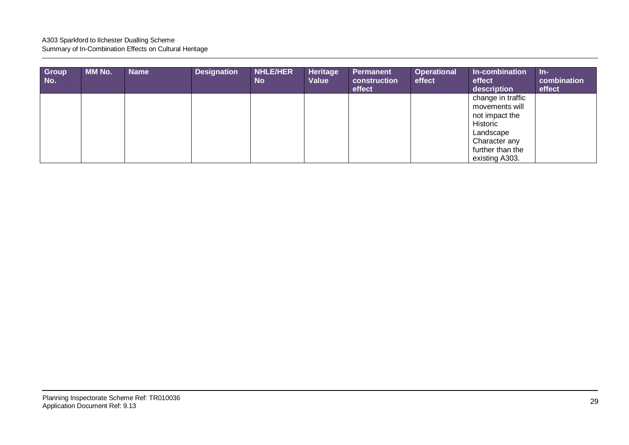| Group<br>No. | <b>MM No.</b> | <b>Name</b> | <b>Designation</b> | <b>NHLE/HER</b><br><b>No</b> | Heritage<br>Value | <b>Permanent</b><br>construction<br>effect | <b>Operational</b><br>effect | In-combination<br>effect<br>description                                                         | $In-$<br>combination<br>effect |
|--------------|---------------|-------------|--------------------|------------------------------|-------------------|--------------------------------------------|------------------------------|-------------------------------------------------------------------------------------------------|--------------------------------|
|              |               |             |                    |                              |                   |                                            |                              | change in traffic<br>movements will<br>not impact the<br>Historic<br>Landscape<br>Character any |                                |
|              |               |             |                    |                              |                   |                                            |                              | further than the<br>existing A303.                                                              |                                |